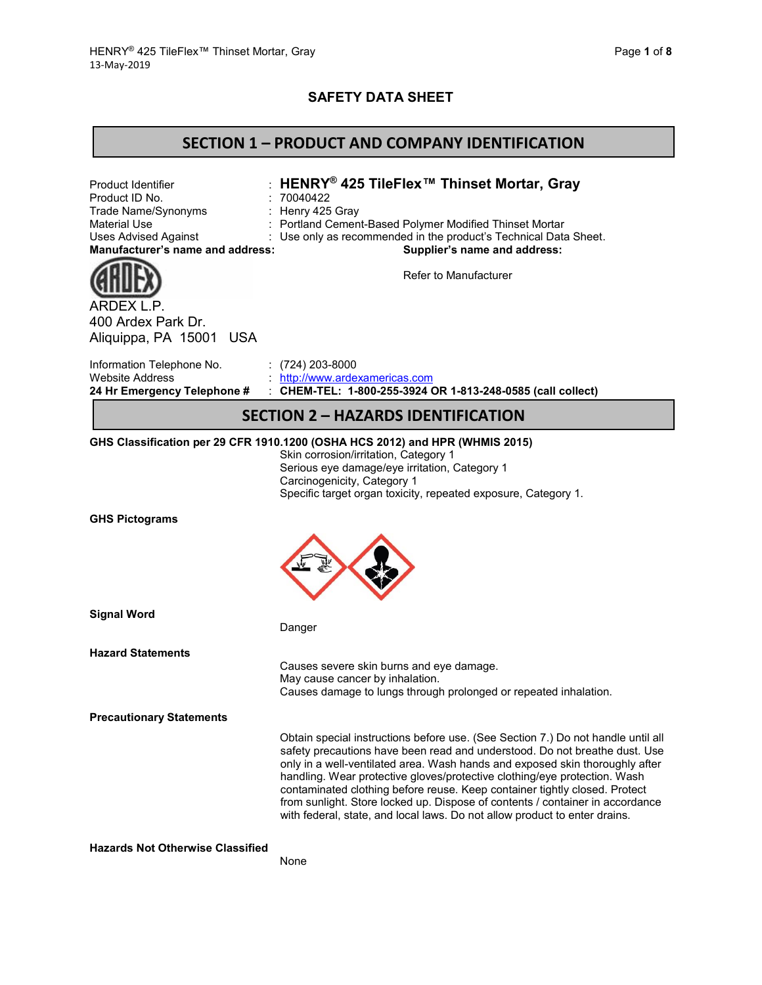### **SAFETY DATA SHEET**

### **SECTION 1 – PRODUCT AND COMPANY IDENTIFICATION**

Product Identifier : **HENRY® 425 TileFlex™ Thinset Mortar, Gray** : 70040422<br>: Henry 425 Gray Trade Name/Synonyms : Material Use **: Portland Cement-Based Polymer Modified Thinset Mortar** Uses Advised Against : Use only as recommended in the product's Technical Data Sheet. **Manufacturer's name and address: Supplier's name and address:**



Refer to Manufacturer

ARDEX L.P. 400 Ardex Park Dr. Aliquippa, PA 15001 USA

| 24 Hr Emergency Telephone # | CHEM-TEL: 1-800-255-3924 OR 1-813-248-0585 (call collect) |
|-----------------------------|-----------------------------------------------------------|
| Website Address             | http://www.ardexamericas.com                              |
| Information Telephone No.   | $(724)$ 203-8000                                          |

### **SECTION 2 – HAZARDS IDENTIFICATION**

#### **GHS Classification per 29 CFR 1910.1200 (OSHA HCS 2012) and HPR (WHMIS 2015)**

Skin corrosion/irritation, Category 1 Serious eye damage/eye irritation, Category 1 Carcinogenicity, Category 1 Specific target organ toxicity, repeated exposure, Category 1.

#### **GHS Pictograms**



**Signal Word**

Danger

**Hazard Statements**

Causes severe skin burns and eye damage. May cause cancer by inhalation. Causes damage to lungs through prolonged or repeated inhalation.

**Precautionary Statements**

Obtain special instructions before use. (See Section 7.) Do not handle until all safety precautions have been read and understood. Do not breathe dust. Use only in a well-ventilated area. Wash hands and exposed skin thoroughly after handling. Wear protective gloves/protective clothing/eye protection. Wash contaminated clothing before reuse. Keep container tightly closed. Protect from sunlight. Store locked up. Dispose of contents / container in accordance with federal, state, and local laws. Do not allow product to enter drains.

**Hazards Not Otherwise Classified**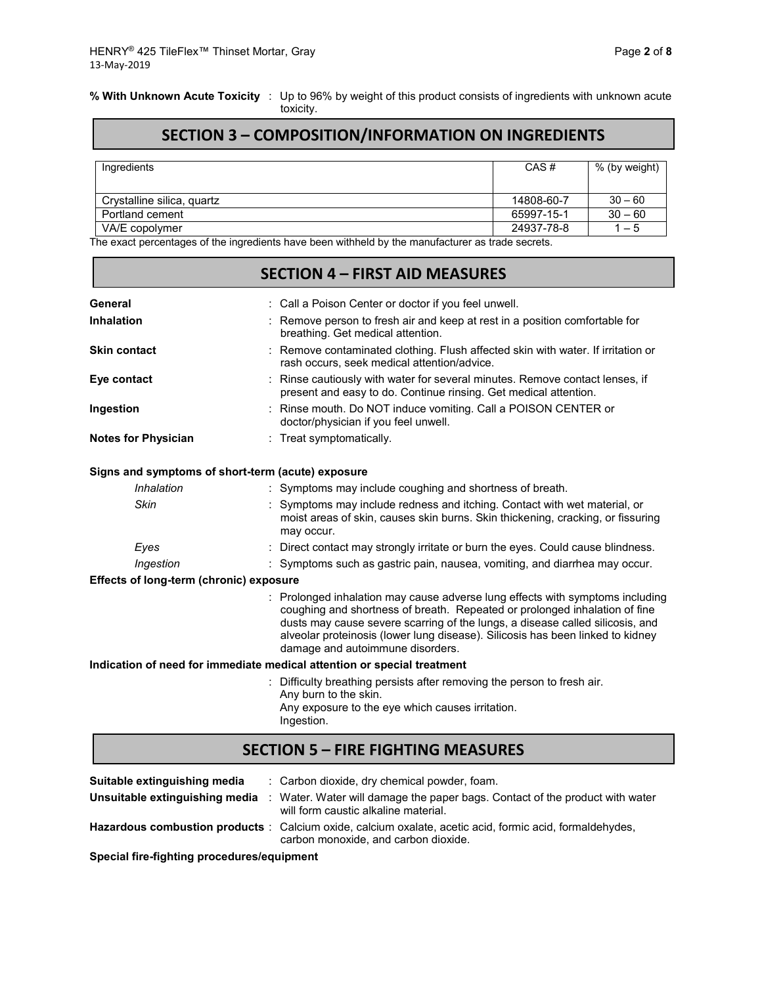**% With Unknown Acute Toxicity** : Up to 96% by weight of this product consists of ingredients with unknown acute toxicity.

# **SECTION 3 – COMPOSITION/INFORMATION ON INGREDIENTS**

| Ingredients                | CAS#       | % (by weight) |
|----------------------------|------------|---------------|
| Crystalline silica, quartz | 14808-60-7 | $30 - 60$     |
| Portland cement            | 65997-15-1 | $30 - 60$     |
| VA/E copolymer             | 24937-78-8 | $1 - 5$       |

The exact percentages of the ingredients have been withheld by the manufacturer as trade secrets.

| <b>SECTION 4 - FIRST AID MEASURES</b>   |                                                                                                                                                                                                                                                                                                                                                                  |  |  |  |
|-----------------------------------------|------------------------------------------------------------------------------------------------------------------------------------------------------------------------------------------------------------------------------------------------------------------------------------------------------------------------------------------------------------------|--|--|--|
| General                                 | : Call a Poison Center or doctor if you feel unwell.                                                                                                                                                                                                                                                                                                             |  |  |  |
| <b>Inhalation</b>                       | : Remove person to fresh air and keep at rest in a position comfortable for<br>breathing. Get medical attention.                                                                                                                                                                                                                                                 |  |  |  |
| <b>Skin contact</b>                     | Remove contaminated clothing. Flush affected skin with water. If irritation or<br>rash occurs, seek medical attention/advice.                                                                                                                                                                                                                                    |  |  |  |
| Eye contact                             | Rinse cautiously with water for several minutes. Remove contact lenses, if<br>present and easy to do. Continue rinsing. Get medical attention.                                                                                                                                                                                                                   |  |  |  |
| Ingestion                               | Rinse mouth. Do NOT induce vomiting. Call a POISON CENTER or<br>doctor/physician if you feel unwell.                                                                                                                                                                                                                                                             |  |  |  |
| <b>Notes for Physician</b>              | : Treat symptomatically.                                                                                                                                                                                                                                                                                                                                         |  |  |  |
|                                         | Signs and symptoms of short-term (acute) exposure                                                                                                                                                                                                                                                                                                                |  |  |  |
| Inhalation                              | : Symptoms may include coughing and shortness of breath.                                                                                                                                                                                                                                                                                                         |  |  |  |
| <b>Skin</b>                             | Symptoms may include redness and itching. Contact with wet material, or<br>moist areas of skin, causes skin burns. Skin thickening, cracking, or fissuring<br>may occur.                                                                                                                                                                                         |  |  |  |
| Eyes                                    | : Direct contact may strongly irritate or burn the eyes. Could cause blindness.                                                                                                                                                                                                                                                                                  |  |  |  |
| Ingestion                               | : Symptoms such as gastric pain, nausea, vomiting, and diarrhea may occur.                                                                                                                                                                                                                                                                                       |  |  |  |
| Effects of long-term (chronic) exposure |                                                                                                                                                                                                                                                                                                                                                                  |  |  |  |
|                                         | Prolonged inhalation may cause adverse lung effects with symptoms including<br>coughing and shortness of breath. Repeated or prolonged inhalation of fine<br>dusts may cause severe scarring of the lungs, a disease called silicosis, and<br>alveolar proteinosis (lower lung disease). Silicosis has been linked to kidney<br>damage and autoimmune disorders. |  |  |  |
|                                         | Indication of need for immediate medical attention or special treatment                                                                                                                                                                                                                                                                                          |  |  |  |
|                                         | : Difficulty breathing persists after removing the person to fresh air.<br>Any burn to the skin.<br>Any exposure to the eye which causes irritation.<br>Ingestion.                                                                                                                                                                                               |  |  |  |
|                                         | <b>SECTION 5 - FIRE FIGHTING MEASURES</b>                                                                                                                                                                                                                                                                                                                        |  |  |  |

| Suitable extinguishing media   | : Carbon dioxide, dry chemical powder, foam.                                                                                                    |
|--------------------------------|-------------------------------------------------------------------------------------------------------------------------------------------------|
| Unsuitable extinguishing media | Water. Water will damage the paper bags. Contact of the product with water<br>will form caustic alkaline material.                              |
|                                | Hazardous combustion products: Calcium oxide, calcium oxalate, acetic acid, formic acid, formaldehydes,<br>carbon monoxide, and carbon dioxide. |

**Special fire-fighting procedures/equipment**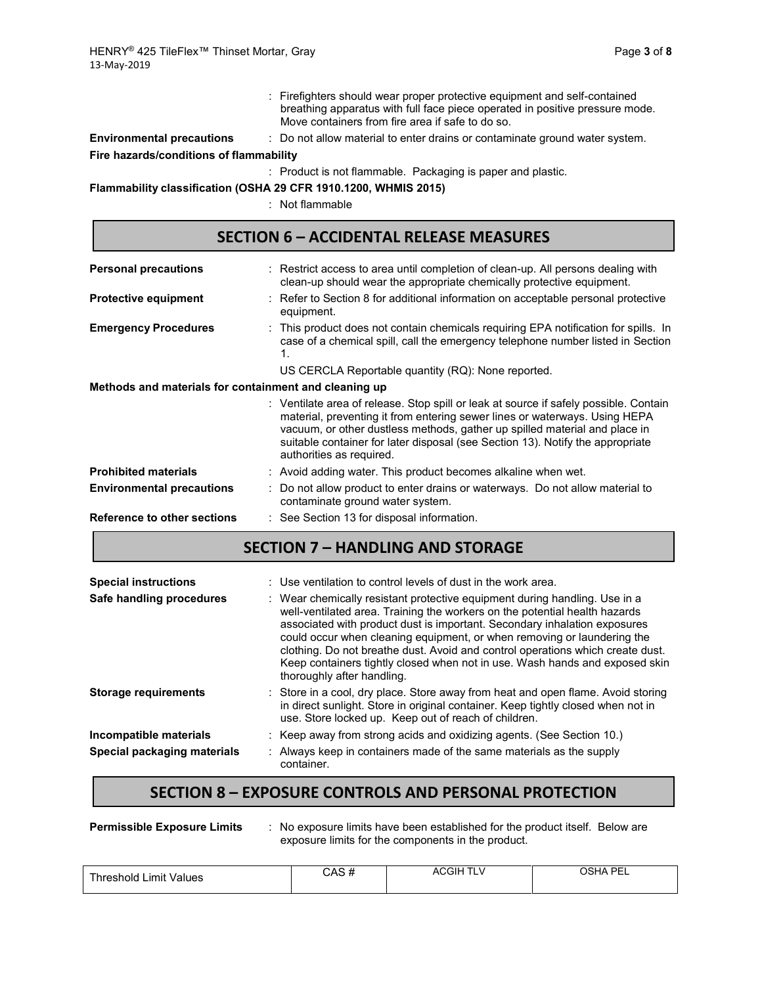|                                         | : Firefighters should wear proper protective equipment and self-contained<br>breathing apparatus with full face piece operated in positive pressure mode.<br>Move containers from fire area if safe to do so. |
|-----------------------------------------|---------------------------------------------------------------------------------------------------------------------------------------------------------------------------------------------------------------|
| <b>Environmental precautions</b>        | : Do not allow material to enter drains or contaminate ground water system.                                                                                                                                   |
| Fire hazards/conditions of flammability |                                                                                                                                                                                                               |
|                                         | : Product is not flammable. Packaging is paper and plastic.                                                                                                                                                   |
|                                         | Flammability classification (OSHA 29 CFR 1910.1200, WHMIS 2015)                                                                                                                                               |

: Not flammable

# **SECTION 6 – ACCIDENTAL RELEASE MEASURES**

| <b>Personal precautions</b>                           | : Restrict access to area until completion of clean-up. All persons dealing with<br>clean-up should wear the appropriate chemically protective equipment.                                                                                                                                                                                                       |  |  |
|-------------------------------------------------------|-----------------------------------------------------------------------------------------------------------------------------------------------------------------------------------------------------------------------------------------------------------------------------------------------------------------------------------------------------------------|--|--|
| <b>Protective equipment</b>                           | : Refer to Section 8 for additional information on acceptable personal protective<br>equipment.                                                                                                                                                                                                                                                                 |  |  |
| <b>Emergency Procedures</b>                           | : This product does not contain chemicals requiring EPA notification for spills. In<br>case of a chemical spill, call the emergency telephone number listed in Section<br>1.                                                                                                                                                                                    |  |  |
|                                                       | US CERCLA Reportable quantity (RQ): None reported.                                                                                                                                                                                                                                                                                                              |  |  |
| Methods and materials for containment and cleaning up |                                                                                                                                                                                                                                                                                                                                                                 |  |  |
|                                                       | : Ventilate area of release. Stop spill or leak at source if safely possible. Contain<br>material, preventing it from entering sewer lines or waterways. Using HEPA<br>vacuum, or other dustless methods, gather up spilled material and place in<br>suitable container for later disposal (see Section 13). Notify the appropriate<br>authorities as required. |  |  |
| <b>Prohibited materials</b>                           | : Avoid adding water. This product becomes alkaline when wet.                                                                                                                                                                                                                                                                                                   |  |  |
| <b>Environmental precautions</b>                      | : Do not allow product to enter drains or waterways. Do not allow material to<br>contaminate ground water system.                                                                                                                                                                                                                                               |  |  |
| <b>Reference to other sections</b>                    | : See Section 13 for disposal information.                                                                                                                                                                                                                                                                                                                      |  |  |

# **SECTION 7 – HANDLING AND STORAGE**

| <b>Special instructions</b><br>Safe handling procedures | : Use ventilation to control levels of dust in the work area.<br>: Wear chemically resistant protective equipment during handling. Use in a<br>well-ventilated area. Training the workers on the potential health hazards<br>associated with product dust is important. Secondary inhalation exposures<br>could occur when cleaning equipment, or when removing or laundering the<br>clothing. Do not breathe dust. Avoid and control operations which create dust.<br>Keep containers tightly closed when not in use. Wash hands and exposed skin<br>thoroughly after handling. |
|---------------------------------------------------------|----------------------------------------------------------------------------------------------------------------------------------------------------------------------------------------------------------------------------------------------------------------------------------------------------------------------------------------------------------------------------------------------------------------------------------------------------------------------------------------------------------------------------------------------------------------------------------|
| <b>Storage requirements</b>                             | : Store in a cool, dry place. Store away from heat and open flame. Avoid storing<br>in direct sunlight. Store in original container. Keep tightly closed when not in<br>use. Store locked up. Keep out of reach of children.                                                                                                                                                                                                                                                                                                                                                     |
| Incompatible materials                                  | : Keep away from strong acids and oxidizing agents. (See Section 10.)                                                                                                                                                                                                                                                                                                                                                                                                                                                                                                            |
| Special packaging materials                             | : Always keep in containers made of the same materials as the supply<br>container.                                                                                                                                                                                                                                                                                                                                                                                                                                                                                               |

### **SECTION 8 – EXPOSURE CONTROLS AND PERSONAL PROTECTION**

**Permissible Exposure Limits** : No exposure limits have been established for the product itself. Below are exposure limits for the components in the product.

| _ımıt<br>i hreshold.<br>Values | ៱៱៰ ៹<br>UMJ<br>$\bm{\pi}$ | <b>ACGIH</b><br>1 L. | OSHA PEI<br>-- |
|--------------------------------|----------------------------|----------------------|----------------|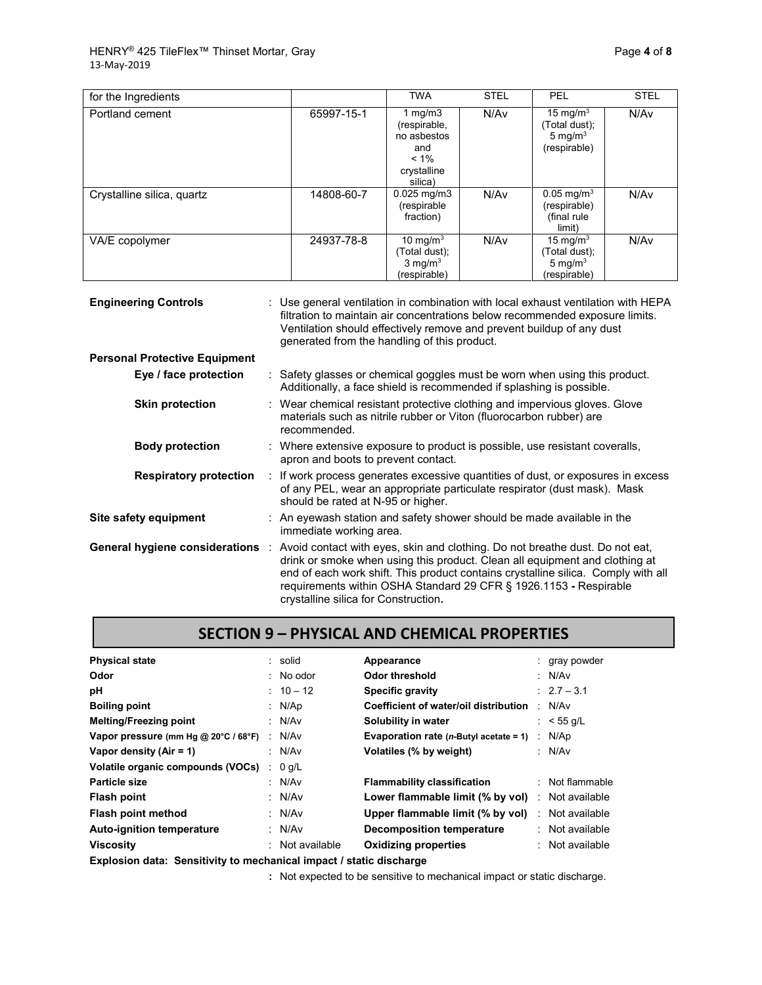| for the Ingredients        |            | <b>TWA</b>                                                                            | <b>STEL</b> | <b>PEL</b>                                                                   | <b>STEL</b> |
|----------------------------|------------|---------------------------------------------------------------------------------------|-------------|------------------------------------------------------------------------------|-------------|
| Portland cement            | 65997-15-1 | 1 mg/m $3$<br>(respirable,<br>no asbestos<br>and<br>$< 1\%$<br>crystalline<br>silica) | N/Av        | 15 mg/m $3$<br>(Total dust);<br>5 mg/m $3$<br>(respirable)                   | N/Av        |
| Crystalline silica, quartz | 14808-60-7 | $0.025$ mg/m3<br>(respirable<br>fraction)                                             | N/Av        | $\overline{0.05}$ mg/m <sup>3</sup><br>(respirable)<br>(final rule<br>limit) | N/Av        |
| VA/E copolymer             | 24937-78-8 | 10 mg/m $3$<br>(Total dust);<br>$3 \text{ mg/m}^3$<br>(respirable)                    | N/Av        | 15 mg/m $3$<br>(Total dust);<br>5 mg/m $3$<br>(respirable)                   | N/Av        |

| <b>Engineering Controls</b>           | : Use general ventilation in combination with local exhaust ventilation with HEPA<br>filtration to maintain air concentrations below recommended exposure limits.<br>Ventilation should effectively remove and prevent buildup of any dust<br>generated from the handling of this product.                                                                    |  |  |
|---------------------------------------|---------------------------------------------------------------------------------------------------------------------------------------------------------------------------------------------------------------------------------------------------------------------------------------------------------------------------------------------------------------|--|--|
| <b>Personal Protective Equipment</b>  |                                                                                                                                                                                                                                                                                                                                                               |  |  |
| Eye / face protection                 | : Safety glasses or chemical goggles must be worn when using this product.<br>Additionally, a face shield is recommended if splashing is possible.                                                                                                                                                                                                            |  |  |
| <b>Skin protection</b>                | : Wear chemical resistant protective clothing and impervious gloves. Glove<br>materials such as nitrile rubber or Viton (fluorocarbon rubber) are<br>recommended.                                                                                                                                                                                             |  |  |
| <b>Body protection</b>                | : Where extensive exposure to product is possible, use resistant coveralls,<br>apron and boots to prevent contact.                                                                                                                                                                                                                                            |  |  |
| <b>Respiratory protection</b>         | : If work process generates excessive quantities of dust, or exposures in excess<br>of any PEL, wear an appropriate particulate respirator (dust mask). Mask<br>should be rated at N-95 or higher.                                                                                                                                                            |  |  |
| Site safety equipment                 | : An eyewash station and safety shower should be made available in the<br>immediate working area.                                                                                                                                                                                                                                                             |  |  |
| <b>General hygiene considerations</b> | Avoid contact with eyes, skin and clothing. Do not breathe dust. Do not eat,<br>drink or smoke when using this product. Clean all equipment and clothing at<br>end of each work shift. This product contains crystalline silica. Comply with all<br>requirements within OSHA Standard 29 CFR § 1926.1153 - Respirable<br>crystalline silica for Construction. |  |  |

# **SECTION 9 – PHYSICAL AND CHEMICAL PROPERTIES**

| <b>Physical state</b>                                             |   | : solid           | Appearance                                | : gray powder     |
|-------------------------------------------------------------------|---|-------------------|-------------------------------------------|-------------------|
|                                                                   |   |                   |                                           |                   |
| Odor                                                              |   | : No odor         | Odor threshold                            | : $N/Av$          |
| рH                                                                |   | $: 10 - 12$       | Specific gravity                          | $: 2.7 - 3.1$     |
| <b>Boiling point</b>                                              |   | : N/Ap            | Coefficient of water/oil distribution     | : N/Av            |
| <b>Melting/Freezing point</b>                                     |   | : N/Av            | Solubility in water                       | : $<$ 55 g/L      |
| Vapor pressure (mm Hg @ 20°C / 68°F)                              |   | : N/Av            | Evaporation rate $(n$ -Butyl acetate = 1) | : N/Ap            |
| Vapor density (Air = 1)                                           |   | : N/Av            | Volatiles (% by weight)                   | : $N/Av$          |
| Volatile organic compounds (VOCs)                                 | ÷ | $0$ g/L           |                                           |                   |
| Particle size                                                     |   | : N/Av            | <b>Flammability classification</b>        | $:$ Not flammable |
| <b>Flash point</b>                                                |   | : N/Av            | Lower flammable limit (% by vol)          | : Not available   |
| Flash point method                                                |   | : N/Av            | Upper flammable limit (% by vol)          | : Not available   |
| <b>Auto-ignition temperature</b>                                  |   | : N/Av            | Decomposition temperature                 | : Not available   |
| <b>Viscosity</b>                                                  |   | $:$ Not available | <b>Oxidizing properties</b>               | : Not available   |
| Fundaatan data. Asnabthitista maakantaal hiinaat Latatta dhaakana |   |                   |                                           |                   |

**Explosion data: Sensitivity to mechanical impact / static discharge**

**:** Not expected to be sensitive to mechanical impact or static discharge.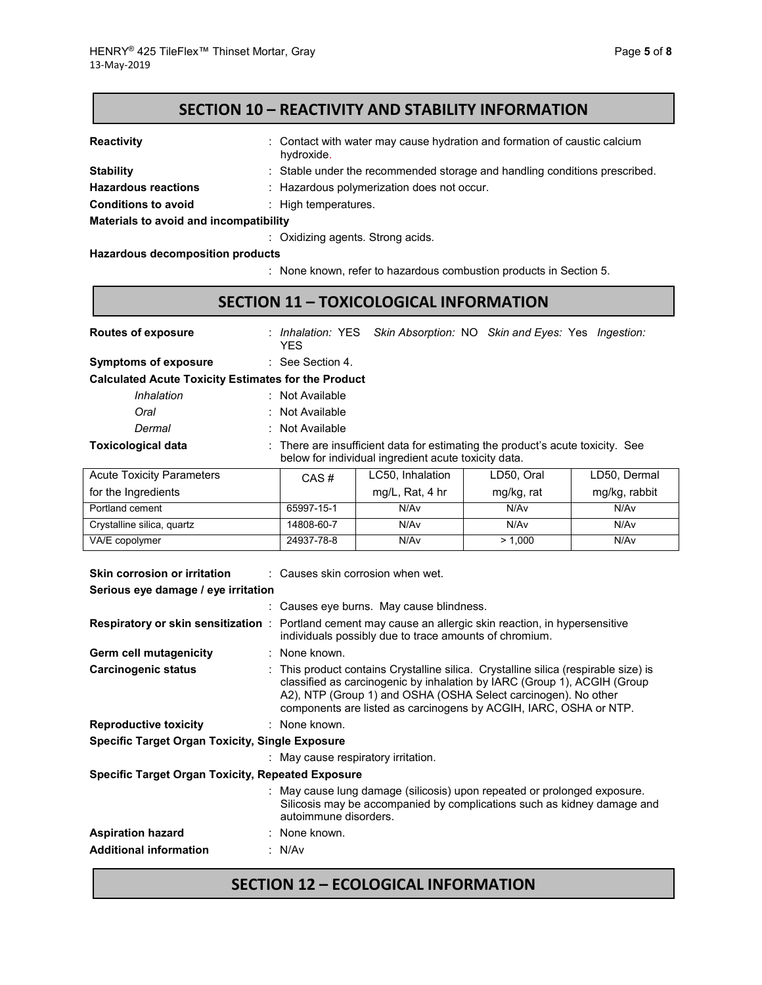| <b>Reactivity</b>                      | : Contact with water may cause hydration and formation of caustic calcium<br>hydroxide. |
|----------------------------------------|-----------------------------------------------------------------------------------------|
| <b>Stability</b>                       | : Stable under the recommended storage and handling conditions prescribed.              |
| <b>Hazardous reactions</b>             | : Hazardous polymerization does not occur.                                              |
| <b>Conditions to avoid</b>             | : High temperatures.                                                                    |
| Materials to avoid and incompatibility |                                                                                         |
|                                        | : Oxidizing agents. Strong acids.                                                       |

**Hazardous decomposition products**

: None known, refer to hazardous combustion products in Section 5.

# **SECTION 11 – TOXICOLOGICAL INFORMATION**

| <b>Routes of exposure</b>                                  | <b>YES</b>                  |                                                      | : Inhalation: YES Skin Absorption: NO Skin and Eyes: Yes Ingestion:            |               |  |  |  |  |
|------------------------------------------------------------|-----------------------------|------------------------------------------------------|--------------------------------------------------------------------------------|---------------|--|--|--|--|
| <b>Symptoms of exposure</b>                                | $\therefore$ See Section 4. |                                                      |                                                                                |               |  |  |  |  |
| <b>Calculated Acute Toxicity Estimates for the Product</b> |                             |                                                      |                                                                                |               |  |  |  |  |
| Inhalation                                                 | : Not Available             |                                                      |                                                                                |               |  |  |  |  |
| Oral                                                       | : Not Available             |                                                      |                                                                                |               |  |  |  |  |
| Dermal                                                     | : Not Available             |                                                      |                                                                                |               |  |  |  |  |
| <b>Toxicological data</b>                                  |                             | below for individual ingredient acute toxicity data. | : There are insufficient data for estimating the product's acute toxicity. See |               |  |  |  |  |
| <b>Acute Toxicity Parameters</b>                           | $CAS \#$                    | LC50, Inhalation                                     | LD50, Oral                                                                     | LD50, Dermal  |  |  |  |  |
| for the Ingredients                                        |                             | mg/L, Rat, 4 hr                                      | mg/kg, rat                                                                     | mg/kg, rabbit |  |  |  |  |
| Portland cement                                            | 65997-15-1                  | N/A <sub>v</sub>                                     | N/Av                                                                           | N/Av          |  |  |  |  |

| <b>POLITIC INSPONSIVE</b>  |            | $11.97 - 1.104$ , $1.11$ | g.ng, .u. | $mgm$ g, rubbit |
|----------------------------|------------|--------------------------|-----------|-----------------|
| Portland cement            | 65997-15-1 | N/Av                     | N/Av      | N/Av            |
| Crystalline silica, quartz | 14808-60-7 | N/Av                     | N/Av      | N/Av            |
| VA/E copolymer             | 24937-78-8 | N/Av                     | > 1.000   | N/Av            |
|                            |            |                          |           |                 |

| Skin corrosion or irritation                             | $\therefore$ Causes skin corrosion when wet.                                                                                                                                                                                                                                                           |  |  |  |  |
|----------------------------------------------------------|--------------------------------------------------------------------------------------------------------------------------------------------------------------------------------------------------------------------------------------------------------------------------------------------------------|--|--|--|--|
| Serious eye damage / eye irritation                      |                                                                                                                                                                                                                                                                                                        |  |  |  |  |
|                                                          | : Causes eye burns. May cause blindness.                                                                                                                                                                                                                                                               |  |  |  |  |
|                                                          | <b>Respiratory or skin sensitization</b> : Portland cement may cause an allergic skin reaction, in hypersensitive<br>individuals possibly due to trace amounts of chromium.                                                                                                                            |  |  |  |  |
| <b>Germ cell mutagenicity</b>                            | : None known.                                                                                                                                                                                                                                                                                          |  |  |  |  |
| Carcinogenic status                                      | : This product contains Crystalline silica. Crystalline silica (respirable size) is<br>classified as carcinogenic by inhalation by IARC (Group 1), ACGIH (Group<br>A2), NTP (Group 1) and OSHA (OSHA Select carcinogen). No other<br>components are listed as carcinogens by ACGIH, IARC, OSHA or NTP. |  |  |  |  |
| <b>Reproductive toxicity</b>                             | : None known.                                                                                                                                                                                                                                                                                          |  |  |  |  |
| <b>Specific Target Organ Toxicity, Single Exposure</b>   |                                                                                                                                                                                                                                                                                                        |  |  |  |  |
|                                                          | : May cause respiratory irritation.                                                                                                                                                                                                                                                                    |  |  |  |  |
| <b>Specific Target Organ Toxicity, Repeated Exposure</b> |                                                                                                                                                                                                                                                                                                        |  |  |  |  |
|                                                          | : May cause lung damage (silicosis) upon repeated or prolonged exposure.<br>Silicosis may be accompanied by complications such as kidney damage and<br>autoimmune disorders.                                                                                                                           |  |  |  |  |
| <b>Aspiration hazard</b>                                 | : None known.                                                                                                                                                                                                                                                                                          |  |  |  |  |
| <b>Additional information</b>                            | : N/Av                                                                                                                                                                                                                                                                                                 |  |  |  |  |

# **SECTION 12 – ECOLOGICAL INFORMATION**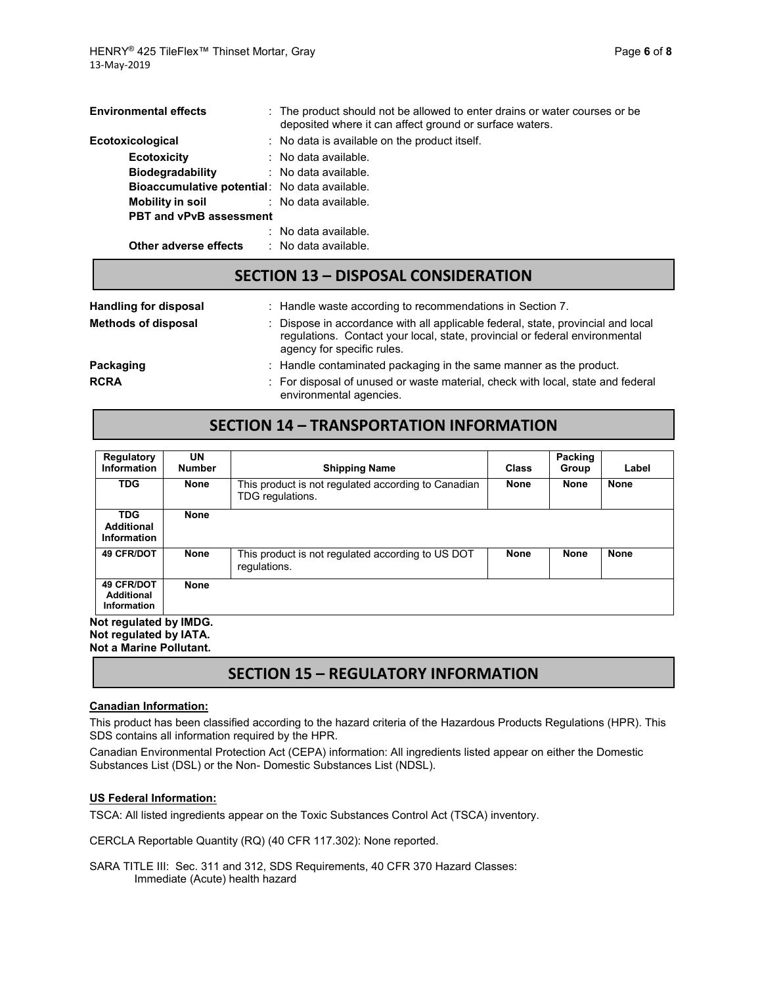| <b>Environmental effects</b>                  | : The product should not be allowed to enter drains or water courses or be<br>deposited where it can affect ground or surface waters. |
|-----------------------------------------------|---------------------------------------------------------------------------------------------------------------------------------------|
| Ecotoxicological                              | : No data is available on the product itself.                                                                                         |
| <b>Ecotoxicity</b>                            | $\therefore$ No data available.                                                                                                       |
| <b>Biodegradability</b>                       | : No data available.                                                                                                                  |
| Bioaccumulative potential: No data available. |                                                                                                                                       |
| Mobility in soil                              | : No data available.                                                                                                                  |
| <b>PBT and vPvB assessment</b>                |                                                                                                                                       |
|                                               | $:$ No data available.                                                                                                                |
| Other adverse effects                         | : No data available.                                                                                                                  |

### **SECTION 13 – DISPOSAL CONSIDERATION**

| <b>Handling for disposal</b> | : Handle waste according to recommendations in Section 7.                                                                                                                                     |
|------------------------------|-----------------------------------------------------------------------------------------------------------------------------------------------------------------------------------------------|
| <b>Methods of disposal</b>   | : Dispose in accordance with all applicable federal, state, provincial and local<br>regulations. Contact your local, state, provincial or federal environmental<br>agency for specific rules. |
| Packaging                    | : Handle contaminated packaging in the same manner as the product.                                                                                                                            |
| RCRA                         | : For disposal of unused or waste material, check with local, state and federal<br>environmental agencies.                                                                                    |

### **SECTION 14 – TRANSPORTATION INFORMATION**

| Regulatory<br><b>Information</b>                      | UN<br><b>Number</b> | <b>Shipping Name</b>                                                    | Class       | Packing<br>Group | Label       |
|-------------------------------------------------------|---------------------|-------------------------------------------------------------------------|-------------|------------------|-------------|
| <b>TDG</b>                                            | <b>None</b>         | This product is not regulated according to Canadian<br>TDG regulations. | <b>None</b> | <b>None</b>      | <b>None</b> |
| <b>TDG</b><br><b>Additional</b><br><b>Information</b> | <b>None</b>         |                                                                         |             |                  |             |
| <b>49 CFR/DOT</b>                                     | <b>None</b>         | This product is not regulated according to US DOT<br>regulations.       | <b>None</b> | <b>None</b>      | <b>None</b> |
| <b>49 CFR/DOT</b><br><b>Additional</b><br>Information | <b>None</b>         |                                                                         |             |                  |             |

**Not regulated by IMDG. Not regulated by IATA. Not a Marine Pollutant.**

### **SECTION 15 – REGULATORY INFORMATION**

#### **Canadian Information:**

This product has been classified according to the hazard criteria of the Hazardous Products Regulations (HPR). This SDS contains all information required by the HPR.

Canadian Environmental Protection Act (CEPA) information: All ingredients listed appear on either the Domestic Substances List (DSL) or the Non- Domestic Substances List (NDSL).

#### **US Federal Information:**

TSCA: All listed ingredients appear on the Toxic Substances Control Act (TSCA) inventory.

CERCLA Reportable Quantity (RQ) (40 CFR 117.302): None reported.

SARA TITLE III: Sec. 311 and 312, SDS Requirements, 40 CFR 370 Hazard Classes: Immediate (Acute) health hazard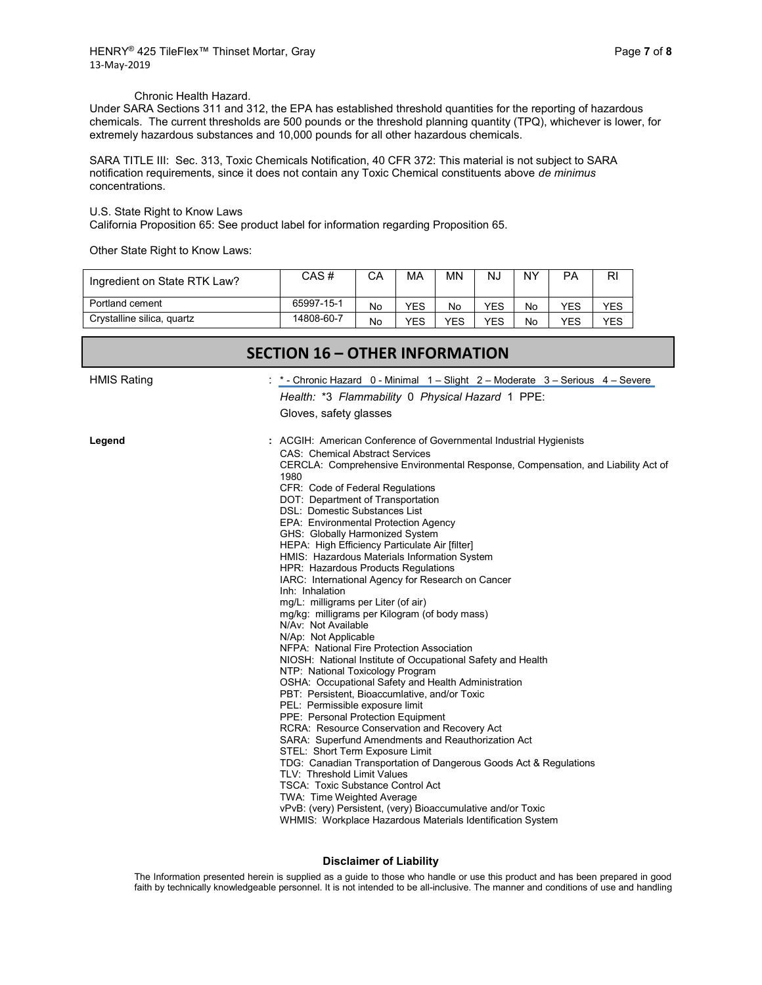#### Chronic Health Hazard.

Under SARA Sections 311 and 312, the EPA has established threshold quantities for the reporting of hazardous chemicals. The current thresholds are 500 pounds or the threshold planning quantity (TPQ), whichever is lower, for extremely hazardous substances and 10,000 pounds for all other hazardous chemicals.

SARA TITLE III: Sec. 313, Toxic Chemicals Notification, 40 CFR 372: This material is not subject to SARA notification requirements, since it does not contain any Toxic Chemical constituents above *de minimus* concentrations.

#### U.S. State Right to Know Laws

California Proposition 65: See product label for information regarding Proposition 65.

Other State Right to Know Laws:

| Ingredient on State RTK Law? | CAS #      | СA | MA  | ΜN  | NJ  | NΥ | PA  | RI  |
|------------------------------|------------|----|-----|-----|-----|----|-----|-----|
| Portland cement              | 65997-15-1 | No | YES | No  | YES | No | YES | YES |
| Crystalline silica, quartz   | 14808-60-7 | No | YES | YES | YES | No | YES | YES |

|                    | <b>SECTION 16 - OTHER INFORMATION</b>                                                   |
|--------------------|-----------------------------------------------------------------------------------------|
| <b>HMIS Rating</b> | *- Chronic Hazard 0 - Minimal $1 -$ Slight 2 – Moderate 3 – Serious 4 – Severe          |
|                    | Health: *3 Flammability 0 Physical Hazard 1 PPE:                                        |
|                    | Gloves, safety glasses                                                                  |
| Legend             | : ACGIH: American Conference of Governmental Industrial Hygienists                      |
|                    | <b>CAS: Chemical Abstract Services</b>                                                  |
|                    | CERCLA: Comprehensive Environmental Response, Compensation, and Liability Act of        |
|                    | 1980                                                                                    |
|                    | CFR: Code of Federal Regulations<br>DOT: Department of Transportation                   |
|                    | DSL: Domestic Substances List                                                           |
|                    | EPA: Environmental Protection Agency                                                    |
|                    | GHS: Globally Harmonized System                                                         |
|                    | HEPA: High Efficiency Particulate Air [filter]                                          |
|                    | HMIS: Hazardous Materials Information System                                            |
|                    | HPR: Hazardous Products Regulations                                                     |
|                    | IARC: International Agency for Research on Cancer                                       |
|                    | Inh: Inhalation                                                                         |
|                    | mg/L: milligrams per Liter (of air)                                                     |
|                    | mg/kg: milligrams per Kilogram (of body mass)                                           |
|                    | N/Av: Not Available                                                                     |
|                    | N/Ap: Not Applicable                                                                    |
|                    | NFPA: National Fire Protection Association                                              |
|                    | NIOSH: National Institute of Occupational Safety and Health                             |
|                    | NTP: National Toxicology Program<br>OSHA: Occupational Safety and Health Administration |
|                    | PBT: Persistent, Bioaccumlative, and/or Toxic                                           |
|                    | PEL: Permissible exposure limit                                                         |
|                    | PPE: Personal Protection Equipment                                                      |
|                    | RCRA: Resource Conservation and Recovery Act                                            |
|                    | SARA: Superfund Amendments and Reauthorization Act                                      |
|                    | STEL: Short Term Exposure Limit                                                         |
|                    | TDG: Canadian Transportation of Dangerous Goods Act & Regulations                       |
|                    | TLV: Threshold Limit Values                                                             |
|                    | <b>TSCA: Toxic Substance Control Act</b>                                                |
|                    | TWA: Time Weighted Average                                                              |
|                    | vPvB: (very) Persistent, (very) Bioaccumulative and/or Toxic                            |
|                    | WHMIS: Workplace Hazardous Materials Identification System                              |

#### **Disclaimer of Liability**

The Information presented herein is supplied as a guide to those who handle or use this product and has been prepared in good faith by technically knowledgeable personnel. It is not intended to be all-inclusive. The manner and conditions of use and handling